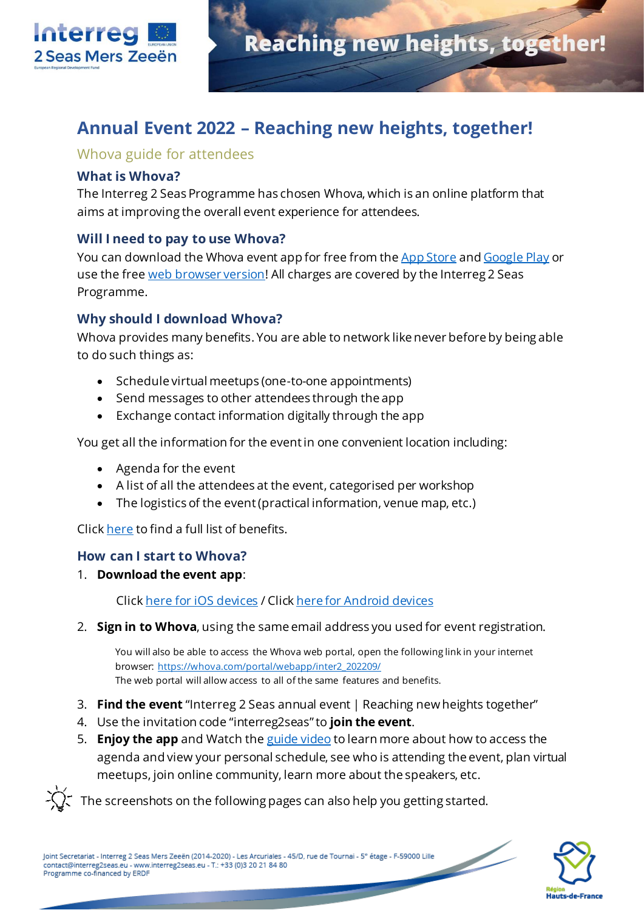

# **Annual Event 2022 – Reaching new heights, together!**

### Whova guide for attendees

#### **What is Whova?**

The Interreg 2 Seas Programme has chosen Whova, which is an online platform that aims at improving the overall event experience for attendees.

### **Will I need to pay to use Whova?**

You can download the Whova event app for free from th[e App Store](https://apps.apple.com/us/app/whova-event-cse25/id716979741?ls=1) an[d Google Play](https://play.google.com/store/apps/details?id=com.whova.event) or use the fre[e web browser version](https://whova.com/portal/webapp/inter2_202209/)! All charges are covered by the Interreg 2 Seas Programme.

### **Why should I download Whova?**

Whova provides many benefits. You are able to network like never before by being able to do such things as:

- Schedule virtual meetups (one-to-one appointments)
- Send messages to other attendees through the app
- Exchange contact information digitally through the app

You get all the information for the event in one convenient location including:

- Agenda for the event
- A list of all the attendees at the event, categorised per workshop
- The logistics of the event (practical information, venue map, etc.)

Clic[k here](https://whova.com/faq/why-should-i-download-whova-app/) to find a full list of benefits.

#### **How can I start to Whova?**

1. **Download the event app**:

Clic[k here for iOS devices](https://apps.apple.com/us/app/whova-event-cse25/id716979741?ls=1) / Clic[k here for Android devices](https://play.google.com/store/apps/details?id=com.whova.event)

2. **Sign in to Whova**, using the same email address you used for event registration.

You will also be able to access the Whova web portal, open the following link in your internet browser: [https://whova.com/portal/webapp/inter2\\_202209/](https://whova.com/portal/webapp/inter2_202209/) The web portal will allow access to all of the same features and benefits.

- 3. **Find the event** "Interreg 2 Seas annual event | Reaching new heights together"
- 4. Use the invitation code "interreg2seas" to **join the event**.
- 5. **Enjoy the app** and Watch th[e guide video](https://youtu.be/XixbPAZ4gaM) to learn more about how to access the agenda and view your personal schedule, see who is attending the event, plan virtual meetups, join online community, learn more about the speakers, etc.

The screenshots on the following pages can also help you getting started.

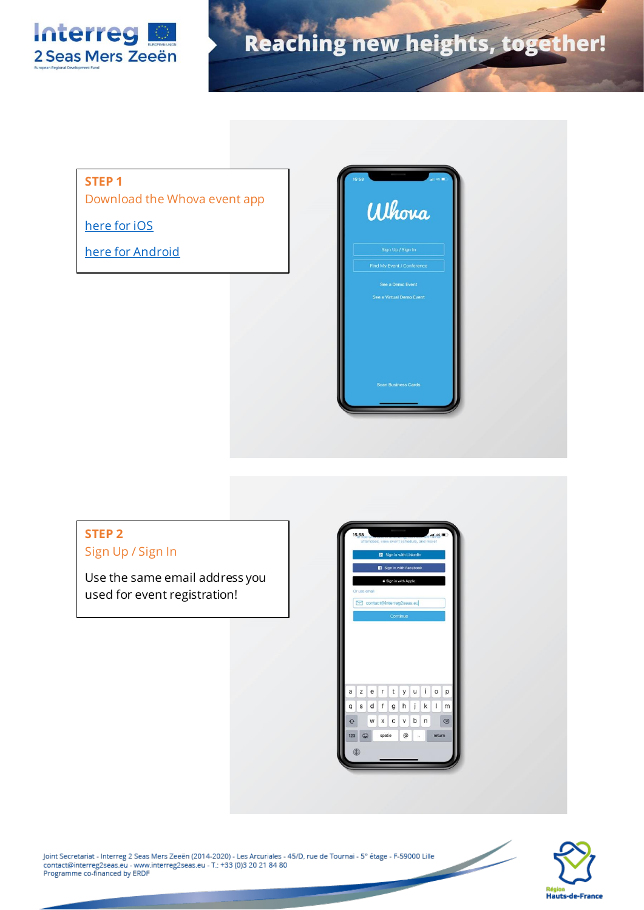

#### **STEP 1**

Download the Whova event app

[here for iOS](https://apps.apple.com/us/app/whova-event-cse25/id716979741?ls=1)

[here for Android](https://play.google.com/store/apps/details?id=com.whova.event)



#### **STEP 2** Sign Up / Sign In Use the same email address you used for event registration!zerty uiop  $\mathsf a$  $g h j k + m$  $\mathsf{q}$  $s$  d  $f$  $x$  c  $v$  b  $n$  $\circledcirc$  $\Diamond$  $W$  $@$ spatie



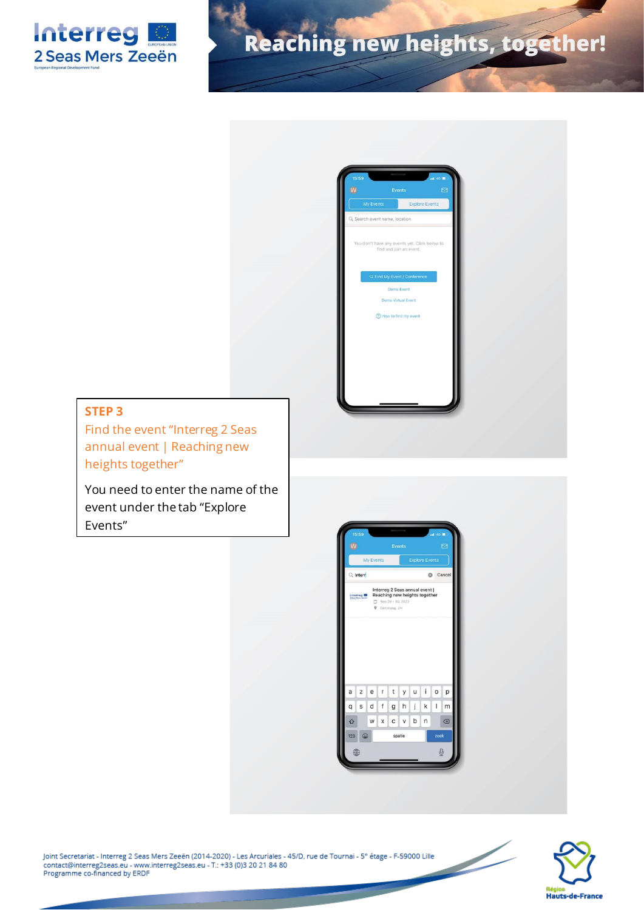



#### **STEP 3**

Find the event "Interreg 2 Seas annual event | Reaching new heights together"

You need to enter the name of the event under the tab "Explore Events"



Joint Secretariat - Interreg 2 Seas Mers Zeeën (2014-2020) - Les Arcuriales - 45/D, rue de Tournai - 5° étage - F-59000 Lille contact@interreg2seas.eu - www.interreg2seas.eu - T.: +33 (0)3 20 21 84 80 Programme co-financed by ERDF

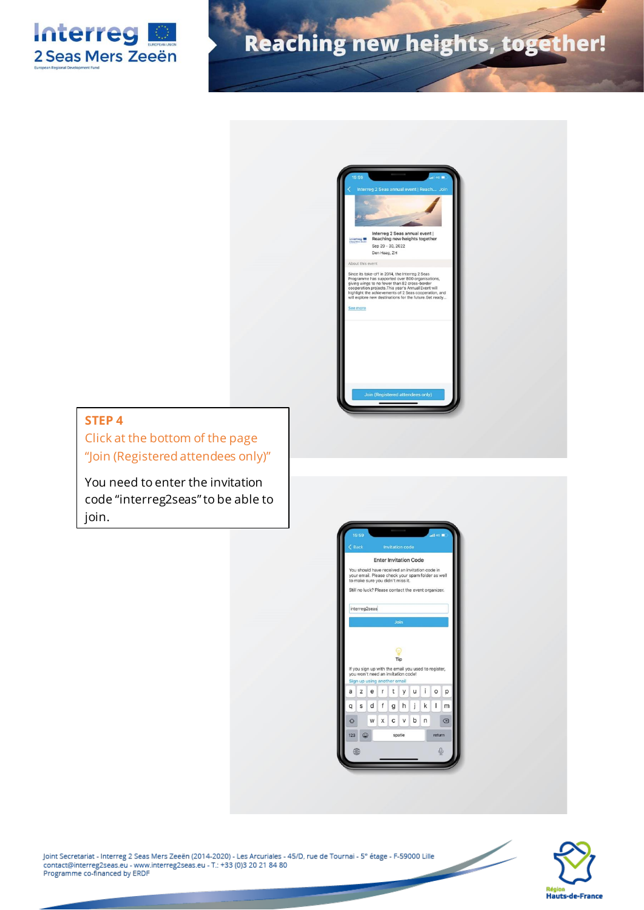



### **STEP 4**

Click at the bottom of the page "Join (Registered attendees only)"

You need to enter the invitation code "interreg2seas" to be able to join.



Joint Secretariat - Interreg 2 Seas Mers Zeeën (2014-2020) - Les Arcuriales - 45/D, rue de Tournai - 5° étage - F-59000 Lille contact@interreg2seas.eu - www.interreg2seas.eu - T.: +33 (0)3 20 21 84 80 Programme co-financed by ERDF